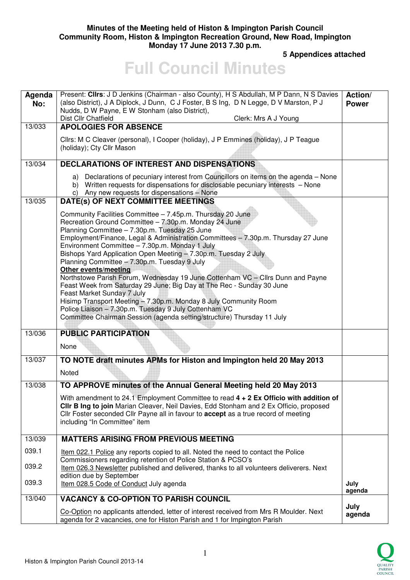## **Minutes of the Meeting held of Histon & Impington Parish Council Community Room, Histon & Impington Recreation Ground, New Road, Impington Monday 17 June 2013 7.30 p.m.**

 **5 Appendices attached** 

# **Full Council Minutes**

| Agenda<br>No: | Present: Clirs: J D Jenkins (Chairman - also County), H S Abdullah, M P Dann, N S Davies<br>(also District), J A Diplock, J Dunn, C J Foster, B S Ing, D N Legge, D V Marston, P J<br>Nudds, D W Payne, E W Stonham (also District),                                                                                                                                                                                                                                                                                                                                                                                                                                                                                                                                                                                                                          | Action/<br><b>Power</b> |
|---------------|---------------------------------------------------------------------------------------------------------------------------------------------------------------------------------------------------------------------------------------------------------------------------------------------------------------------------------------------------------------------------------------------------------------------------------------------------------------------------------------------------------------------------------------------------------------------------------------------------------------------------------------------------------------------------------------------------------------------------------------------------------------------------------------------------------------------------------------------------------------|-------------------------|
| 13/033        | Dist Cllr Chatfield<br>Clerk: Mrs A J Young<br><b>APOLOGIES FOR ABSENCE</b>                                                                                                                                                                                                                                                                                                                                                                                                                                                                                                                                                                                                                                                                                                                                                                                   |                         |
|               | Cllrs: M C Cleaver (personal), I Cooper (holiday), J P Emmines (holiday), J P Teague<br>(holiday); Cty Cllr Mason                                                                                                                                                                                                                                                                                                                                                                                                                                                                                                                                                                                                                                                                                                                                             |                         |
| 13/034        | <b>DECLARATIONS OF INTEREST AND DISPENSATIONS</b>                                                                                                                                                                                                                                                                                                                                                                                                                                                                                                                                                                                                                                                                                                                                                                                                             |                         |
| 13/035        | a) Declarations of pecuniary interest from Councillors on items on the agenda - None<br>b) Written requests for dispensations for disclosable pecuniary interests - None<br>c) Any new requests for dispensations - None<br>DATE(s) OF NEXT COMMITTEE MEETINGS                                                                                                                                                                                                                                                                                                                                                                                                                                                                                                                                                                                                |                         |
|               | Community Facilities Committee - 7.45p.m. Thursday 20 June<br>Recreation Ground Committee - 7.30p.m. Monday 24 June<br>Planning Committee - 7.30p.m. Tuesday 25 June<br>Employment/Finance, Legal & Administration Committees - 7.30p.m. Thursday 27 June<br>Environment Committee - 7.30p.m. Monday 1 July<br>Bishops Yard Application Open Meeting - 7.30p.m. Tuesday 2 July<br>Planning Committee - 7.30p.m. Tuesday 9 July<br><b>Other events/meeting</b><br>Northstowe Parish Forum, Wednesday 19 June Cottenham VC - Cllrs Dunn and Payne<br>Feast Week from Saturday 29 June; Big Day at The Rec - Sunday 30 June<br>Feast Market Sunday 7 July<br>Hisimp Transport Meeting - 7.30p.m. Monday 8 July Community Room<br>Police Liaison - 7.30p.m. Tuesday 9 July Cottenham VC<br>Committee Chairman Session (agenda setting/structure) Thursday 11 July |                         |
| 13/036        | <b>PUBLIC PARTICIPATION</b><br>None                                                                                                                                                                                                                                                                                                                                                                                                                                                                                                                                                                                                                                                                                                                                                                                                                           |                         |
| 13/037        | TO NOTE draft minutes APMs for Histon and Impington held 20 May 2013                                                                                                                                                                                                                                                                                                                                                                                                                                                                                                                                                                                                                                                                                                                                                                                          |                         |
|               | Noted                                                                                                                                                                                                                                                                                                                                                                                                                                                                                                                                                                                                                                                                                                                                                                                                                                                         |                         |
|               |                                                                                                                                                                                                                                                                                                                                                                                                                                                                                                                                                                                                                                                                                                                                                                                                                                                               |                         |
| 13/038        | TO APPROVE minutes of the Annual General Meeting held 20 May 2013<br>With amendment to 24.1 Employment Committee to read 4 + 2 Ex Officio with addition of<br>CIIr B Ing to join Marian Cleaver, Neil Davies, Edd Stonham and 2 Ex Officio, proposed<br>Cllr Foster seconded Cllr Payne all in favour to accept as a true record of meeting<br>including "In Committee" item                                                                                                                                                                                                                                                                                                                                                                                                                                                                                  |                         |
| 13/039        | <b>MATTERS ARISING FROM PREVIOUS MEETING</b>                                                                                                                                                                                                                                                                                                                                                                                                                                                                                                                                                                                                                                                                                                                                                                                                                  |                         |
| 039.1         | <u>Item 022.1 Police</u> any reports copied to all. Noted the need to contact the Police                                                                                                                                                                                                                                                                                                                                                                                                                                                                                                                                                                                                                                                                                                                                                                      |                         |
| 039.2         | Commissioners regarding retention of Police Station & PCSO's<br>Item 026.3 Newsletter published and delivered, thanks to all volunteers deliverers. Next<br>edition due by September                                                                                                                                                                                                                                                                                                                                                                                                                                                                                                                                                                                                                                                                          |                         |
| 039.3         | Item 028.5 Code of Conduct July agenda                                                                                                                                                                                                                                                                                                                                                                                                                                                                                                                                                                                                                                                                                                                                                                                                                        | July<br>agenda          |
| 13/040        | <b>VACANCY &amp; CO-OPTION TO PARISH COUNCIL</b>                                                                                                                                                                                                                                                                                                                                                                                                                                                                                                                                                                                                                                                                                                                                                                                                              |                         |
|               | Co-Option no applicants attended, letter of interest received from Mrs R Moulder. Next<br>agenda for 2 vacancies, one for Histon Parish and 1 for Impington Parish                                                                                                                                                                                                                                                                                                                                                                                                                                                                                                                                                                                                                                                                                            | July<br>agenda          |

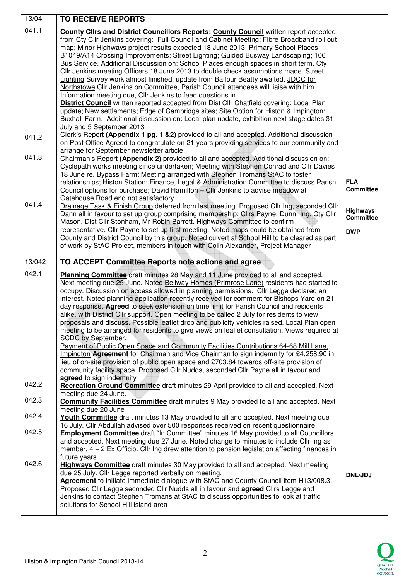| 13/041         | <b>TO RECEIVE REPORTS</b>                                                                                                                                                                                                                                                                                                                                                                                                                                                                                                                                                                                                                                                                                                                                                                                                                                                                                                                                                                                                                                                                                                                                                     |                                     |
|----------------|-------------------------------------------------------------------------------------------------------------------------------------------------------------------------------------------------------------------------------------------------------------------------------------------------------------------------------------------------------------------------------------------------------------------------------------------------------------------------------------------------------------------------------------------------------------------------------------------------------------------------------------------------------------------------------------------------------------------------------------------------------------------------------------------------------------------------------------------------------------------------------------------------------------------------------------------------------------------------------------------------------------------------------------------------------------------------------------------------------------------------------------------------------------------------------|-------------------------------------|
| 041.1          | County Clirs and District Councillors Reports: County Council written report accepted<br>from Cty Cllr Jenkins covering: Full Council and Cabinet Meeting; Fibre Broadband roll out<br>map; Minor Highways project results expected 18 June 2013; Primary School Places;<br>B1049/A14 Crossing Improvements; Street Lighting; Guided Busway Landscaping; 106<br>Bus Service. Additional Discussion on: School Places enough spaces in short term. Cty<br>Cllr Jenkins meeting Officers 18 June 2013 to double check assumptions made. Street<br>Lighting Survey work almost finished, update from Balfour Beatty awaited. JDCC for<br>Northstowe Cllr Jenkins on Committee, Parish Council attendees will liaise with him.<br>Information meeting due, Cllr Jenkins to feed questions in<br>District Council written reported accepted from Dist Cllr Chatfield covering: Local Plan<br>update; New settlements; Edge of Cambridge sites; Site Option for Histon & Impington;<br>Buxhall Farm. Additional discussion on: Local plan update, exhibition next stage dates 31<br>July and 5 September 2013                                                                       |                                     |
| 041.2<br>041.3 | Clerk's Report (Appendix 1 pg. 1 & 2) provided to all and accepted. Additional discussion<br>on Post Office Agreed to congratulate on 21 years providing services to our community and<br>arrange for September newsletter article<br>Chairman's Report (Appendix 2) provided to all and accepted. Additional discussion on:                                                                                                                                                                                                                                                                                                                                                                                                                                                                                                                                                                                                                                                                                                                                                                                                                                                  |                                     |
|                | Cyclepath works meeting since undertaken; Meeting with Stephen Conrad and Cllr Davies<br>18 June re. Bypass Farm; Meeting arranged with Stephen Tromans StAC to foster<br>relationships; Histon Station: Finance, Legal & Administration Committee to discuss Parish<br>Council options for purchase; David Hamilton - Cllr Jenkins to advise meadow at<br>Gatehouse Road end not satisfactory                                                                                                                                                                                                                                                                                                                                                                                                                                                                                                                                                                                                                                                                                                                                                                                | <b>FLA</b><br><b>Committee</b>      |
| 041.4          | Drainage Task & Finish Group deferred from last meeting. Proposed Cllr Ing, seconded Cllr<br>Dann all in favour to set up group comprising membership: ClIrs Payne, Dunn, Ing, Cty ClIr<br>Mason, Dist Cllr Stonham, Mr Robin Barrett. Highways Committee to confirm                                                                                                                                                                                                                                                                                                                                                                                                                                                                                                                                                                                                                                                                                                                                                                                                                                                                                                          | <b>Highways</b><br><b>Committee</b> |
|                | representative. Cllr Payne to set up first meeting. Noted maps could be obtained from<br>County and District Council by this group. Noted culvert at School Hill to be cleared as part<br>of work by StAC Project, members in touch with Colin Alexander, Project Manager                                                                                                                                                                                                                                                                                                                                                                                                                                                                                                                                                                                                                                                                                                                                                                                                                                                                                                     | <b>DWP</b>                          |
| 13/042         | TO ACCEPT Committee Reports note actions and agree                                                                                                                                                                                                                                                                                                                                                                                                                                                                                                                                                                                                                                                                                                                                                                                                                                                                                                                                                                                                                                                                                                                            |                                     |
| 042.1          | Planning Committee draft minutes 28 May and 11 June provided to all and accepted.<br>Next meeting due 25 June. Noted Bellway Homes (Primrose Lane) residents had started to<br>occupy. Discussion on access allowed in planning permissions. Cllr Legge declared an<br>interest. Noted planning application recently received for comment for Bishops Yard on 21<br>day response. Agreed to seek extension on time limit for Parish Council and residents<br>alike, with District Cllr support. Open meeting to be called 2 July for residents to view<br>proposals and discuss. Possible leaflet drop and publicity vehicles raised. Local Plan open<br>meeting to be arranged for residents to give views on leaflet consultation. Views required at<br>SCDC by September.<br>Payment of Public Open Space and Community Facilities Contributions 64-68 Mill Lane,<br>Impington Agreement for Chairman and Vice Chairman to sign indemnity for £4,258.90 in<br>lieu of on-site provision of public open space and £703.84 towards off-site provision of<br>community facility space. Proposed Cllr Nudds, seconded Cllr Payne all in favour and<br>agreed to sign indemnity |                                     |
| 042.2          | Recreation Ground Committee draft minutes 29 April provided to all and accepted. Next<br>meeting due 24 June.                                                                                                                                                                                                                                                                                                                                                                                                                                                                                                                                                                                                                                                                                                                                                                                                                                                                                                                                                                                                                                                                 |                                     |
| 042.3          | Community Facilities Committee draft minutes 9 May provided to all and accepted. Next<br>meeting due 20 June                                                                                                                                                                                                                                                                                                                                                                                                                                                                                                                                                                                                                                                                                                                                                                                                                                                                                                                                                                                                                                                                  |                                     |
| 042.4          | <b>Youth Committee</b> draft minutes 13 May provided to all and accepted. Next meeting due<br>16 July. Cllr Abdullah advised over 500 responses received on recent questionnaire                                                                                                                                                                                                                                                                                                                                                                                                                                                                                                                                                                                                                                                                                                                                                                                                                                                                                                                                                                                              |                                     |
| 042.5          | <b>Employment Committee</b> draft "In Committee" minutes 16 May provided to all Councillors<br>and accepted. Next meeting due 27 June. Noted change to minutes to include Cllr Ing as<br>member, $4 + 2$ Ex Officio. Cllr Ing drew attention to pension legislation affecting finances in                                                                                                                                                                                                                                                                                                                                                                                                                                                                                                                                                                                                                                                                                                                                                                                                                                                                                     |                                     |
| 042.6          | future years<br><b>Highways Committee</b> draft minutes 30 May provided to all and accepted. Next meeting<br>due 25 July. Cllr Legge reported verbally on meeting.<br>Agreement to initiate immediate dialogue with StAC and County Council item H13/008.3.<br>Proposed Cllr Legge seconded Cllr Nudds all in favour and <b>agreed</b> Cllrs Legge and<br>Jenkins to contact Stephen Tromans at StAC to discuss opportunities to look at traffic<br>solutions for School Hill island area                                                                                                                                                                                                                                                                                                                                                                                                                                                                                                                                                                                                                                                                                     | <b>DNL/JDJ</b>                      |

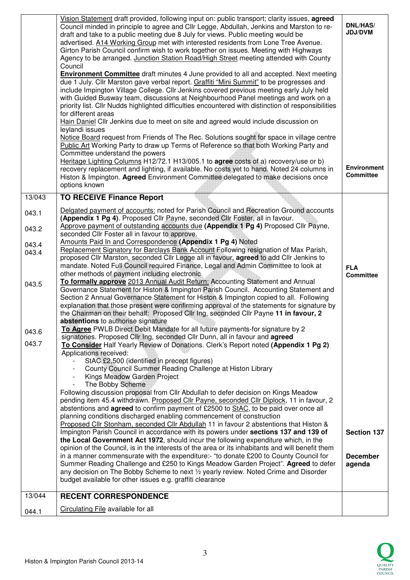|        | Vision Statement draft provided, following input on: public transport; clarity issues, agreed<br>Council minded in principle to agree and Cllr Legge, Abdullah, Jenkins and Marston to re-<br>draft and take to a public meeting due 8 July for views. Public meeting would be<br>advertised. A14 Working Group met with interested residents from Lone Tree Avenue.<br>Girton Parish Council confirm wish to work together on issues. Meeting with Highways<br>Agency to be arranged. Junction Station Road/High Street meeting attended with County<br>Council<br><b>Environment Committee</b> draft minutes 4 June provided to all and accepted. Next meeting<br>due 1 July. Cllr Marston gave verbal report. Graffiti "Mini Summit" to be progresses and<br>include Impington Village College. Cllr Jenkins covered previous meeting early July held<br>with Guided Busway team, discussions at Neighbourhood Panel meetings and work on a<br>priority list. Cllr Nudds highlighted difficulties encountered with distinction of responsibilities<br>for different areas<br>Hain Daniel Cllr Jenkins due to meet on site and agreed would include discussion on<br>leylandi issues<br>Notice Board request from Friends of The Rec. Solutions sought for space in village centre<br>Public Art Working Party to draw up Terms of Reference so that both Working Party and<br>Committee understand the powers<br>Heritage Lighting Columns H12/72.1 H13/005.1 to agree costs of a) recovery/use or b)<br>recovery replacement and lighting, if available. No costs yet to hand. Noted 24 columns in | <b>DNL/HAS/</b><br><b>JDJ/DVM</b><br><b>Environment</b><br><b>Committee</b> |
|--------|--------------------------------------------------------------------------------------------------------------------------------------------------------------------------------------------------------------------------------------------------------------------------------------------------------------------------------------------------------------------------------------------------------------------------------------------------------------------------------------------------------------------------------------------------------------------------------------------------------------------------------------------------------------------------------------------------------------------------------------------------------------------------------------------------------------------------------------------------------------------------------------------------------------------------------------------------------------------------------------------------------------------------------------------------------------------------------------------------------------------------------------------------------------------------------------------------------------------------------------------------------------------------------------------------------------------------------------------------------------------------------------------------------------------------------------------------------------------------------------------------------------------------------------------------------------------------------------------------------|-----------------------------------------------------------------------------|
|        | Histon & Impington. Agreed Environment Committee delegated to make decisions once<br>options known                                                                                                                                                                                                                                                                                                                                                                                                                                                                                                                                                                                                                                                                                                                                                                                                                                                                                                                                                                                                                                                                                                                                                                                                                                                                                                                                                                                                                                                                                                     |                                                                             |
| 13/043 | <b>TO RECEIVE Finance Report</b>                                                                                                                                                                                                                                                                                                                                                                                                                                                                                                                                                                                                                                                                                                                                                                                                                                                                                                                                                                                                                                                                                                                                                                                                                                                                                                                                                                                                                                                                                                                                                                       |                                                                             |
| 043.1  | Delgated payment of accounts: noted for Parish Council and Recreation Ground accounts<br>(Appendix 1 Pg 4). Proposed Cllr Payne, seconded Cllr Foster, all in favour.                                                                                                                                                                                                                                                                                                                                                                                                                                                                                                                                                                                                                                                                                                                                                                                                                                                                                                                                                                                                                                                                                                                                                                                                                                                                                                                                                                                                                                  |                                                                             |
| 043.2  | Approve payment of outstanding accounts due (Appendix 1 Pg 4) Proposed Cllr Payne,<br>seconded Cllr Foster all in favour to approve.                                                                                                                                                                                                                                                                                                                                                                                                                                                                                                                                                                                                                                                                                                                                                                                                                                                                                                                                                                                                                                                                                                                                                                                                                                                                                                                                                                                                                                                                   |                                                                             |
| 043.4  | Amounts Paid In and Correspondence (Appendix 1 Pg 4) Noted                                                                                                                                                                                                                                                                                                                                                                                                                                                                                                                                                                                                                                                                                                                                                                                                                                                                                                                                                                                                                                                                                                                                                                                                                                                                                                                                                                                                                                                                                                                                             |                                                                             |
| 043.4  | Replacement Signatory for Barclays Bank Account Following resignation of Max Parish,<br>proposed Cllr Marston, seconded Cllr Legge all in favour, agreed to add Cllr Jenkins to<br>mandate. Noted Full Council required Finance, Legal and Admin Committee to look at<br>other methods of payment including electronic                                                                                                                                                                                                                                                                                                                                                                                                                                                                                                                                                                                                                                                                                                                                                                                                                                                                                                                                                                                                                                                                                                                                                                                                                                                                                 | <b>FLA</b><br><b>Committee</b>                                              |
| 043.5  | To formally approve 2013 Annual Audit Return: Accounting Statement and Annual<br>Governance Statement for Histon & Impington Parish Council. Accounting Statement and<br>Section 2 Annual Governance Statement for Histon & Impington copied to all. Following<br>explanation that those present were confirming approval of the statements for signature by<br>the Chairman on their behalf: Proposed Cllr Ing, seconded Cllr Payne 11 in favour, 2<br>abstentions to authorise signature                                                                                                                                                                                                                                                                                                                                                                                                                                                                                                                                                                                                                                                                                                                                                                                                                                                                                                                                                                                                                                                                                                             |                                                                             |
| 043.6  | To Agree PWLB Direct Debit Mandate for all future payments-for signature by 2                                                                                                                                                                                                                                                                                                                                                                                                                                                                                                                                                                                                                                                                                                                                                                                                                                                                                                                                                                                                                                                                                                                                                                                                                                                                                                                                                                                                                                                                                                                          |                                                                             |
| 043.7  | signatories. Proposed Cllr Ing, seconded Cllr Dunn, all in favour and agreed<br>To Consider Half Yearly Review of Donations. Clerk's Report noted (Appendix 1 Pg 2)<br>Applications received:<br>StAC £2,500 (identified in precept figures)                                                                                                                                                                                                                                                                                                                                                                                                                                                                                                                                                                                                                                                                                                                                                                                                                                                                                                                                                                                                                                                                                                                                                                                                                                                                                                                                                           |                                                                             |
|        | County Council Summer Reading Challenge at Histon Library<br>Kings Meadow Garden Project                                                                                                                                                                                                                                                                                                                                                                                                                                                                                                                                                                                                                                                                                                                                                                                                                                                                                                                                                                                                                                                                                                                                                                                                                                                                                                                                                                                                                                                                                                               |                                                                             |
|        | The Bobby Scheme                                                                                                                                                                                                                                                                                                                                                                                                                                                                                                                                                                                                                                                                                                                                                                                                                                                                                                                                                                                                                                                                                                                                                                                                                                                                                                                                                                                                                                                                                                                                                                                       |                                                                             |
|        | Following discussion proposal from Cllr Abdullah to defer decision on Kings Meadow                                                                                                                                                                                                                                                                                                                                                                                                                                                                                                                                                                                                                                                                                                                                                                                                                                                                                                                                                                                                                                                                                                                                                                                                                                                                                                                                                                                                                                                                                                                     |                                                                             |
|        | pending item 45.4 withdrawn. Proposed Cllr Payne, seconded Cllr Diplock, 11 in favour, 2<br>abstentions and agreed to confirm payment of £2500 to StAC, to be paid over once all                                                                                                                                                                                                                                                                                                                                                                                                                                                                                                                                                                                                                                                                                                                                                                                                                                                                                                                                                                                                                                                                                                                                                                                                                                                                                                                                                                                                                       |                                                                             |
|        | planning conditions discharged enabling commencement of construction<br>Proposed Cllr Stonham, seconded Cllr Abdullah 11 in favour 2 abstentions that Histon &                                                                                                                                                                                                                                                                                                                                                                                                                                                                                                                                                                                                                                                                                                                                                                                                                                                                                                                                                                                                                                                                                                                                                                                                                                                                                                                                                                                                                                         |                                                                             |
|        | Impington Parish Council in accordance with its powers under sections 137 and 139 of                                                                                                                                                                                                                                                                                                                                                                                                                                                                                                                                                                                                                                                                                                                                                                                                                                                                                                                                                                                                                                                                                                                                                                                                                                                                                                                                                                                                                                                                                                                   | <b>Section 137</b>                                                          |
|        | the Local Government Act 1972, should incur the following expenditure which, in the                                                                                                                                                                                                                                                                                                                                                                                                                                                                                                                                                                                                                                                                                                                                                                                                                                                                                                                                                                                                                                                                                                                                                                                                                                                                                                                                                                                                                                                                                                                    |                                                                             |
|        | opinion of the Council, is in the interests of the area or its inhabitants and will benefit them<br>in a manner commensurate with the expenditure:- "to donate £200 to County Council for                                                                                                                                                                                                                                                                                                                                                                                                                                                                                                                                                                                                                                                                                                                                                                                                                                                                                                                                                                                                                                                                                                                                                                                                                                                                                                                                                                                                              | <b>December</b>                                                             |
|        | Summer Reading Challenge and £250 to Kings Meadow Garden Project". Agreed to defer                                                                                                                                                                                                                                                                                                                                                                                                                                                                                                                                                                                                                                                                                                                                                                                                                                                                                                                                                                                                                                                                                                                                                                                                                                                                                                                                                                                                                                                                                                                     | agenda                                                                      |
|        | any decision on The Bobby Scheme to next 1/2 yearly review. Noted Crime and Disorder                                                                                                                                                                                                                                                                                                                                                                                                                                                                                                                                                                                                                                                                                                                                                                                                                                                                                                                                                                                                                                                                                                                                                                                                                                                                                                                                                                                                                                                                                                                   |                                                                             |
|        | budget available for other issues e.g. graffiti clearance                                                                                                                                                                                                                                                                                                                                                                                                                                                                                                                                                                                                                                                                                                                                                                                                                                                                                                                                                                                                                                                                                                                                                                                                                                                                                                                                                                                                                                                                                                                                              |                                                                             |
| 13/044 | <b>RECENT CORRESPONDENCE</b>                                                                                                                                                                                                                                                                                                                                                                                                                                                                                                                                                                                                                                                                                                                                                                                                                                                                                                                                                                                                                                                                                                                                                                                                                                                                                                                                                                                                                                                                                                                                                                           |                                                                             |
| 044.1  | Circulating File available for all                                                                                                                                                                                                                                                                                                                                                                                                                                                                                                                                                                                                                                                                                                                                                                                                                                                                                                                                                                                                                                                                                                                                                                                                                                                                                                                                                                                                                                                                                                                                                                     |                                                                             |

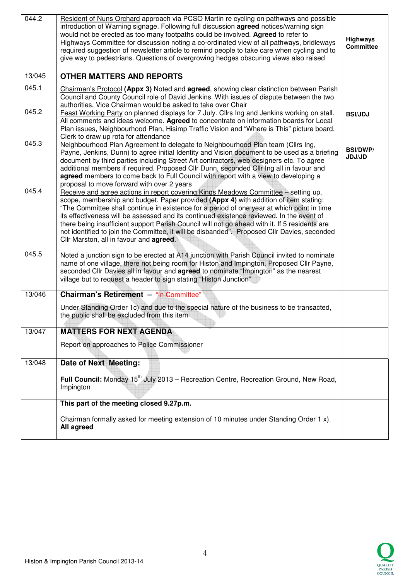| 044.2  | Resident of Nuns Orchard approach via PCSO Martin re cycling on pathways and possible<br>introduction of Warning signage. Following full discussion <b>agreed</b> notices/warning sign<br>would not be erected as too many footpaths could be involved. Agreed to refer to<br>Highways Committee for discussion noting a co-ordinated view of all pathways, bridleways<br>required suggestion of newsletter article to remind people to take care when cycling and to<br>give way to pedestrians. Questions of overgrowing hedges obscuring views also raised                                                   | <b>Highways</b><br><b>Committee</b> |
|--------|-----------------------------------------------------------------------------------------------------------------------------------------------------------------------------------------------------------------------------------------------------------------------------------------------------------------------------------------------------------------------------------------------------------------------------------------------------------------------------------------------------------------------------------------------------------------------------------------------------------------|-------------------------------------|
| 13/045 | <b>OTHER MATTERS AND REPORTS</b>                                                                                                                                                                                                                                                                                                                                                                                                                                                                                                                                                                                |                                     |
| 045.1  | <b>Chairman's Protocol (Appx 3)</b> Noted and <b>agreed</b> , showing clear distinction between Parish<br>Council and County Council role of David Jenkins. With issues of dispute between the two<br>authorities, Vice Chairman would be asked to take over Chair                                                                                                                                                                                                                                                                                                                                              |                                     |
| 045.2  | Feast Working Party on planned displays for 7 July. Cllrs Ing and Jenkins working on stall.<br>All comments and ideas welcome. Agreed to concentrate on information boards for Local<br>Plan issues, Neighbourhood Plan, Hisimp Traffic Vision and "Where is This" picture board.<br>Clerk to draw up rota for attendance                                                                                                                                                                                                                                                                                       | <b>BSI/JDJ</b>                      |
| 045.3  | Neighbourhood Plan Agreement to delegate to Neighbourhood Plan team (Cllrs Ing,<br>Payne, Jenkins, Dunn) to agree initial Identity and Vision document to be used as a briefing<br>document by third parties including Street Art contractors, web designers etc. To agree<br>additional members if required. Proposed Cllr Dunn, seconded Cllr Ing all in favour and<br>agreed members to come back to Full Council with report with a view to developing a<br>proposal to move forward with over 2 years                                                                                                      | <b>BSI/DWP/</b><br>JDJ/JD           |
| 045.4  | Receive and agree actions in report covering Kings Meadows Committee - setting up,<br>scope, membership and budget. Paper provided (Appx 4) with addition of item stating:<br>"The Committee shall continue in existence for a period of one year at which point in time<br>its effectiveness will be assessed and its continued existence reviewed. In the event of<br>there being insufficient support Parish Council will not go ahead with it. If 5 residents are<br>not identified to join the Committee, it will be disbanded". Proposed Cllr Davies, seconded<br>Cllr Marston, all in favour and agreed. |                                     |
| 045.5  | Noted a junction sign to be erected at A14 junction with Parish Council invited to nominate<br>name of one village, there not being room for Histon and Impington. Proposed Cllr Payne,<br>seconded Cllr Davies all in favour and <b>agreed</b> to nominate "Impington" as the nearest<br>village but to request a header to sign stating "Histon Junction"                                                                                                                                                                                                                                                     |                                     |
| 13/046 | Chairman's Retirement - "In Committee"                                                                                                                                                                                                                                                                                                                                                                                                                                                                                                                                                                          |                                     |
|        | Under Standing Order 1c) and due to the special nature of the business to be transacted,<br>the public shall be excluded from this item                                                                                                                                                                                                                                                                                                                                                                                                                                                                         |                                     |
| 13/047 | <b>MATTERS FOR NEXT AGENDA</b>                                                                                                                                                                                                                                                                                                                                                                                                                                                                                                                                                                                  |                                     |
|        | Report on approaches to Police Commissioner                                                                                                                                                                                                                                                                                                                                                                                                                                                                                                                                                                     |                                     |
| 13/048 | Date of Next Meeting:                                                                                                                                                                                                                                                                                                                                                                                                                                                                                                                                                                                           |                                     |
|        | Full Council: Monday 15 <sup>th</sup> July 2013 – Recreation Centre, Recreation Ground, New Road,<br>Impington                                                                                                                                                                                                                                                                                                                                                                                                                                                                                                  |                                     |
|        | This part of the meeting closed 9.27p.m.                                                                                                                                                                                                                                                                                                                                                                                                                                                                                                                                                                        |                                     |
|        | Chairman formally asked for meeting extension of 10 minutes under Standing Order 1 x).<br>All agreed                                                                                                                                                                                                                                                                                                                                                                                                                                                                                                            |                                     |